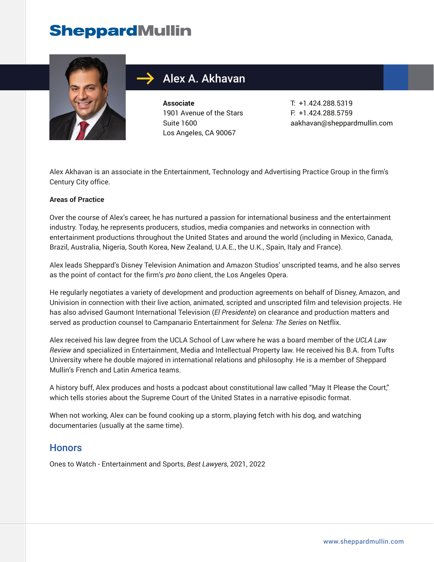## **SheppardMullin**



## Alex A. Akhavan

**Associate** 1901 Avenue of the Stars Suite 1600 Los Angeles, CA 90067

T: +1.424.288.5319 F: +1.424.288.5759 aakhavan@sheppardmullin.com

Alex Akhavan is an associate in the Entertainment, Technology and Advertising Practice Group in the firm's Century City office.

#### **Areas of Practice**

Over the course of Alex's career, he has nurtured a passion for international business and the entertainment industry. Today, he represents producers, studios, media companies and networks in connection with entertainment productions throughout the United States and around the world (including in Mexico, Canada, Brazil, Australia, Nigeria, South Korea, New Zealand, U.A.E., the U.K., Spain, Italy and France).

Alex leads Sheppard's Disney Television Animation and Amazon Studios' unscripted teams, and he also serves as the point of contact for the firm's *pro bono* client, the Los Angeles Opera.

He regularly negotiates a variety of development and production agreements on behalf of Disney, Amazon, and Univision in connection with their live action, animated, scripted and unscripted film and television projects. He has also advised Gaumont International Television (*El Presidente*) on clearance and production matters and served as production counsel to Campanario Entertainment for *Selena: The Series* on Netflix.

Alex received his law degree from the UCLA School of Law where he was a board member of the *UCLA Law Review* and specialized in Entertainment, Media and Intellectual Property law. He received his B.A. from Tufts University where he double majored in international relations and philosophy. He is a member of Sheppard Mullin's French and Latin America teams.

A history buff, Alex produces and hosts a podcast about constitutional law called "May It Please the Court," which tells stories about the Supreme Court of the United States in a narrative episodic format.

When not working, Alex can be found cooking up a storm, playing fetch with his dog, and watching documentaries (usually at the same time).

#### **Honors**

Ones to Watch - Entertainment and Sports, *Best Lawyers,* 2021, 2022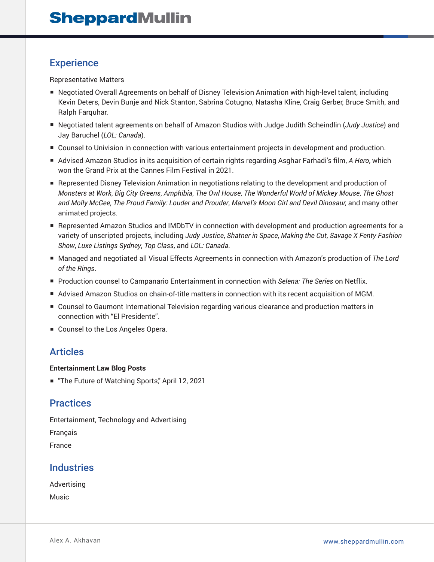#### **Experience**

Representative Matters

- Negotiated Overall Agreements on behalf of Disney Television Animation with high-level talent, including Kevin Deters, Devin Bunje and Nick Stanton, Sabrina Cotugno, Natasha Kline, Craig Gerber, Bruce Smith, and Ralph Farquhar.
- Negotiated talent agreements on behalf of Amazon Studios with Judge Judith Scheindlin (*Judy Justice*) and Jay Baruchel (*LOL: Canada*).
- Counsel to Univision in connection with various entertainment projects in development and production.
- Advised Amazon Studios in its acquisition of certain rights regarding Asghar Farhadi's film, *A Hero*, which won the Grand Prix at the Cannes Film Festival in 2021.
- Represented Disney Television Animation in negotiations relating to the development and production of *Monsters at Work*, *Big City Greens*, *Amphibia*, *The Owl House*, *The Wonderful World of Mickey Mouse*, *The Ghost and Molly McGee*, *The Proud Family: Louder and Prouder*, *Marvel's Moon Girl and Devil Dinosaur,* and many other animated projects.
- Represented Amazon Studios and IMDbTV in connection with development and production agreements for a variety of unscripted projects, including *Judy Justice*, *Shatner in Space*, *Making the Cut*, *Savage X Fenty Fashion Show*, *Luxe Listings Sydney*, *Top Class*, and *LOL: Canada*.
- Managed and negotiated all Visual Effects Agreements in connection with Amazon's production of *The Lord of the Rings*.
- Production counsel to Campanario Entertainment in connection with *Selena: The Series* on Netflix.
- Advised Amazon Studios on chain-of-title matters in connection with its recent acquisition of MGM.
- Counsel to Gaumont International Television regarding various clearance and production matters in connection with "El Presidente".
- Counsel to the Los Angeles Opera.

### Articles

#### **Entertainment Law Blog Posts**

■ "The Future of Watching Sports," April 12, 2021

### **Practices**

Entertainment, Technology and Advertising

Français

France

### **Industries**

Advertising Music